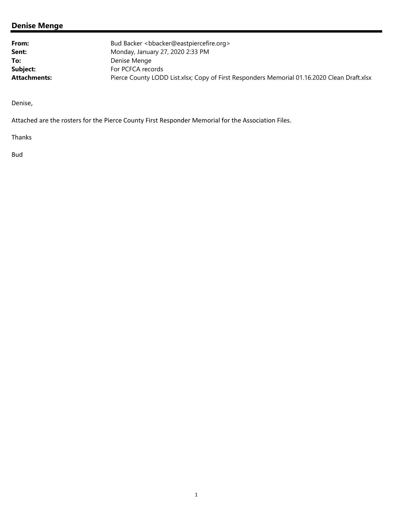## **Denise Menge**

| From:               | Bud Backer <bbacker@eastpiercefire.org></bbacker@eastpiercefire.org>                        |
|---------------------|---------------------------------------------------------------------------------------------|
| Sent:               | Monday, January 27, 2020 2:33 PM                                                            |
| To:                 | Denise Menge                                                                                |
| Subject:            | For PCFCA records                                                                           |
| <b>Attachments:</b> | Pierce County LODD List.xlsx; Copy of First Responders Memorial 01.16.2020 Clean Draft.xlsx |

Denise,

Attached are the rosters for the Pierce County First Responder Memorial for the Association Files.

Thanks

Bud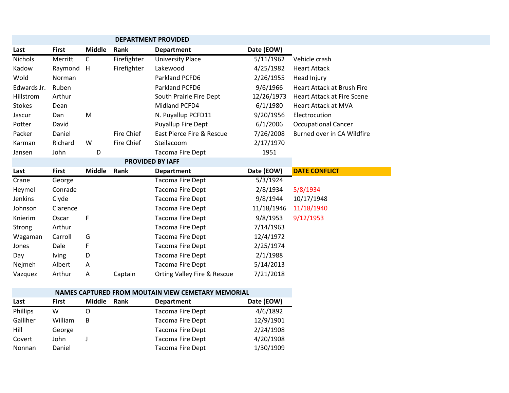|               |              |               |                   | <b>DEPARTMENT PROVIDED</b> |            |                                   |
|---------------|--------------|---------------|-------------------|----------------------------|------------|-----------------------------------|
| Last          | <b>First</b> | <b>Middle</b> | Rank              | <b>Department</b>          | Date (EOW) |                                   |
| Nichols       | Merritt      | $\mathsf{C}$  | Firefighter       | <b>University Place</b>    | 5/11/1962  | Vehicle crash                     |
| Kadow         | Raymond      | H             | Firefighter       | Lakewood                   | 4/25/1982  | <b>Heart Attack</b>               |
| Wold          | Norman       |               |                   | Parkland PCFD6             | 2/26/1955  | Head Injury                       |
| Edwards Jr.   | Ruben        |               |                   | Parkland PCFD6             | 9/6/1966   | <b>Heart Attack at Brush Fire</b> |
| Hillstrom     | Arthur       |               |                   | South Prairie Fire Dept    | 12/26/1973 | <b>Heart Attack at Fire Scene</b> |
| <b>Stokes</b> | Dean         |               |                   | Midland PCFD4              | 6/1/1980   | <b>Heart Attack at MVA</b>        |
| Jascur        | Dan          | M             |                   | N. Puyallup PCFD11         | 9/20/1956  | Electrocution                     |
| Potter        | David        |               |                   | Puyallup Fire Dept         | 6/1/2006   | <b>Occupational Cancer</b>        |
| Packer        | Daniel       |               | Fire Chief        | East Pierce Fire & Rescue  | 7/26/2008  | Burned over in CA Wildfire        |
| Karman        | Richard      | W             | <b>Fire Chief</b> | Steilacoom                 | 2/17/1970  |                                   |
| Jansen        | John         | D             |                   | <b>Tacoma Fire Dept</b>    | 1951       |                                   |
|               |              |               |                   | <b>PROVIDED BY IAFF</b>    |            |                                   |
| Last          | <b>First</b> | <b>Middle</b> | Rank              | <b>Department</b>          | Date (EOW) | <b>DATE CONFLICT</b>              |
| Crane         | George       |               |                   | <b>Tacoma Fire Dept</b>    | 5/3/1924   |                                   |
| Heymel        | Conrade      |               |                   | Tacoma Fire Dept           | 2/8/1934   | 5/8/1934                          |
| Jenkins       | Clyde        |               |                   | Tacoma Fire Dept           | 9/8/1944   | 10/17/1948                        |
| Johnson       | Clarence     |               |                   | <b>Tacoma Fire Dept</b>    | 11/18/1946 | 11/18/1940                        |
| Knierim       | Oscar        | F             |                   | <b>Tacoma Fire Dept</b>    | 9/8/1953   | 9/12/1953                         |
| Strong        | Arthur       |               |                   | <b>Tacoma Fire Dept</b>    | 7/14/1963  |                                   |
| Wagaman       | Carroll      | G             |                   | Tacoma Fire Dept           | 12/4/1972  |                                   |
| Jones         | Dale         | F             |                   | <b>Tacoma Fire Dept</b>    | 2/25/1974  |                                   |
|               |              |               |                   |                            |            |                                   |
| Day           | <b>lving</b> | D             |                   | <b>Tacoma Fire Dept</b>    | 2/1/1988   |                                   |
| Nejmeh        | Albert       | A             |                   | <b>Tacoma Fire Dept</b>    | 5/14/2013  |                                   |

|          |              |               |      | NAMES CAPTURED FROM MOUTAIN VIEW CEMETARY MEMORIAL |            |
|----------|--------------|---------------|------|----------------------------------------------------|------------|
| Last     | <b>First</b> | <b>Middle</b> | Rank | <b>Department</b>                                  | Date (EOW) |
| Phillips | w            |               |      | <b>Tacoma Fire Dept</b>                            | 4/6/1892   |
| Galliher | William      | В             |      | <b>Tacoma Fire Dept</b>                            | 12/9/1901  |
| Hill     | George       |               |      | Tacoma Fire Dept                                   | 2/24/1908  |
| Covert   | John         |               |      | Tacoma Fire Dept                                   | 4/20/1908  |
| Nonnan   | Daniel       |               |      | Tacoma Fire Dept                                   | 1/30/1909  |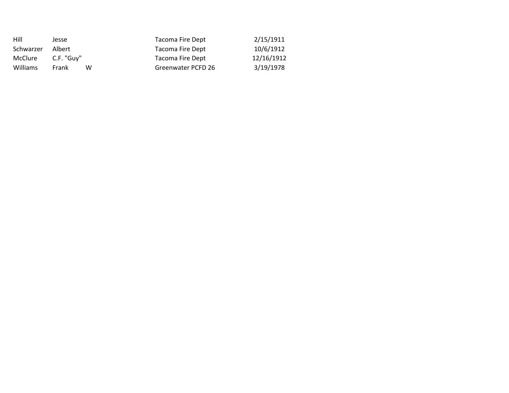| Hill           | Jesse      | Tacoma Fire Dept   | 2/15/1911  |
|----------------|------------|--------------------|------------|
| Schwarzer      | Albert     | Tacoma Fire Dept   | 10/6/1912  |
| <b>McClure</b> | C.F. "Guv" | Tacoma Fire Dept   | 12/16/1912 |
| Williams       | Frank<br>w | Greenwater PCFD 26 | 3/19/1978  |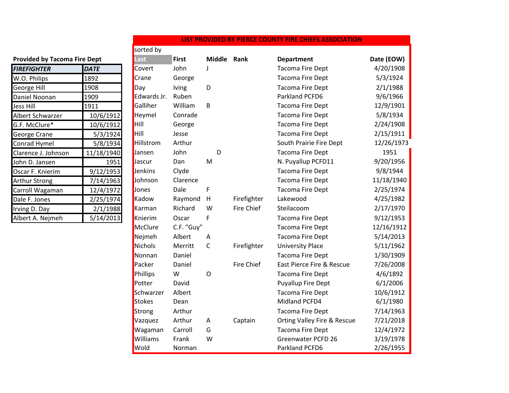## **Provided by Tacoma Fire Dept**

| <b>FIREFIGHTER</b>   | DATE       |
|----------------------|------------|
| W.O. Philips         | 1892       |
| <b>George Hill</b>   | 1908       |
| Daniel Noonan        | 1909       |
| <b>Jess Hill</b>     | 1911       |
| Albert Schwarzer     | 10/6/1912  |
| G.F. McClure*        | 10/6/1912  |
| George Crane         | 5/3/1924   |
| <b>Conrad Hymel</b>  | 5/8/1934   |
| Clarence J. Johnson  | 11/18/1940 |
| John D. Jansen       | 1951       |
| Oscar F. Knierim     | 9/12/1953  |
| <b>Arthur Strong</b> | 7/14/1963  |
| Carroll Wagaman      | 12/4/1972  |
| Dale F. Jones        | 2/25/1974  |
| Irving D. Day        | 2/1/1988   |
| Albert A. Nejmeh     | 5/14/2013  |

|                                     |             | sorted by     |              |              |                   |                                        |            |
|-------------------------------------|-------------|---------------|--------------|--------------|-------------------|----------------------------------------|------------|
| <b>Provided by Tacoma Fire Dept</b> |             | Last          | <b>First</b> | Middle Rank  |                   | <b>Department</b>                      | Date (EOW) |
| <b>FIREFIGHTER</b>                  | <b>DATE</b> | Covert        | John         | J            |                   | <b>Tacoma Fire Dept</b>                | 4/20/1908  |
| W.O. Philips                        | 1892        | Crane         | George       |              |                   | Tacoma Fire Dept                       | 5/3/1924   |
| George Hill                         | 1908        | Day           | lving        | D            |                   | <b>Tacoma Fire Dept</b>                | 2/1/1988   |
| Daniel Noonan                       | 1909        | Edwards Jr.   | Ruben        |              |                   | Parkland PCFD6                         | 9/6/1966   |
| Jess Hill                           | 1911        | Galliher      | William      | B            |                   | Tacoma Fire Dept                       | 12/9/1901  |
| Albert Schwarzer                    | 10/6/1912   | Heymel        | Conrade      |              |                   | Tacoma Fire Dept                       | 5/8/1934   |
| G.F. McClure*                       | 10/6/1912   | Hill          | George       |              |                   | <b>Tacoma Fire Dept</b>                | 2/24/1908  |
| George Crane                        | 5/3/1924    | Hill          | Jesse        |              |                   | Tacoma Fire Dept                       | 2/15/1911  |
| Conrad Hymel                        | 5/8/1934    | Hillstrom     | Arthur       |              |                   | South Prairie Fire Dept                | 12/26/1973 |
| Clarence J. Johnson                 | 11/18/1940  | Jansen        | John         | D            |                   | Tacoma Fire Dept                       | 1951       |
| John D. Jansen                      | 1951        | Jascur        | Dan          | M            |                   | N. Puyallup PCFD11                     | 9/20/1956  |
| Oscar F. Knierim                    | 9/12/1953   | Jenkins       | Clyde        |              |                   | Tacoma Fire Dept                       | 9/8/1944   |
| <b>Arthur Strong</b>                | 7/14/1963   | Johnson       | Clarence     |              |                   | <b>Tacoma Fire Dept</b>                | 11/18/1940 |
| Carroll Wagaman                     | 12/4/1972   | Jones         | Dale         | F            |                   | Tacoma Fire Dept                       | 2/25/1974  |
| Dale F. Jones                       | 2/25/1974   | Kadow         | Raymond      | H            | Firefighter       | Lakewood                               | 4/25/1982  |
| Irving D. Day                       | 2/1/1988    | Karman        | Richard      | W            | Fire Chief        | Steilacoom                             | 2/17/1970  |
| Albert A. Nejmeh                    | 5/14/2013   | Knierim       | Oscar        | F            |                   | Tacoma Fire Dept                       | 9/12/1953  |
|                                     |             | McClure       | C.F. "Guy"   |              |                   | Tacoma Fire Dept                       | 12/16/1912 |
|                                     |             | Nejmeh        | Albert       | Α            |                   | Tacoma Fire Dept                       | 5/14/2013  |
|                                     |             | Nichols       | Merritt      | $\mathsf{C}$ | Firefighter       | <b>University Place</b>                | 5/11/1962  |
|                                     |             | Nonnan        | Daniel       |              |                   | <b>Tacoma Fire Dept</b>                | 1/30/1909  |
|                                     |             | Packer        | Daniel       |              | <b>Fire Chief</b> | East Pierce Fire & Rescue              | 7/26/2008  |
|                                     |             | Phillips      | W            | $\mathsf O$  |                   | Tacoma Fire Dept                       | 4/6/1892   |
|                                     |             | Potter        | David        |              |                   | <b>Puyallup Fire Dept</b>              | 6/1/2006   |
|                                     |             | Schwarzer     | Albert       |              |                   | <b>Tacoma Fire Dept</b>                | 10/6/1912  |
|                                     |             | <b>Stokes</b> | Dean         |              |                   | Midland PCFD4                          | 6/1/1980   |
|                                     |             | Strong        | Arthur       |              |                   | <b>Tacoma Fire Dept</b>                | 7/14/1963  |
|                                     |             | Vazquez       | Arthur       | A            | Captain           | <b>Orting Valley Fire &amp; Rescue</b> | 7/21/2018  |
|                                     |             | Wagaman       | Carroll      | G            |                   | <b>Tacoma Fire Dept</b>                | 12/4/1972  |
|                                     |             | Williams      | Frank        | W            |                   | Greenwater PCFD 26                     | 3/19/1978  |
|                                     |             | Wold          | Norman       |              |                   | Parkland PCFD6                         | 2/26/1955  |

## **LIST PROVIDED BY PIERCE COUNTY FIRE CHIEFS ASSOCIATION**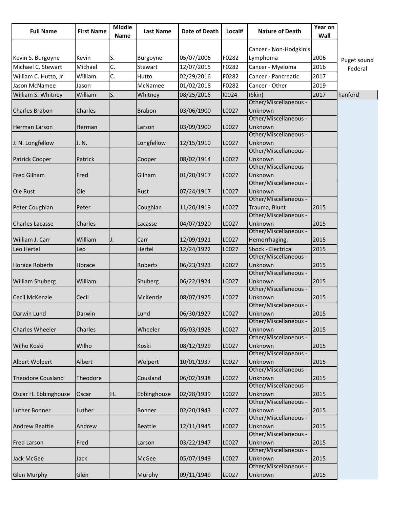| Cancer - Non-Hodgkin's<br>S.<br>05/07/2006<br>F0282<br>2006<br>Kevin S. Burgoyne<br>Kevin<br>Burgoyne<br>Lymphoma<br>Puget sound<br>C.<br>Michael<br>F0282<br>Cancer - Myeloma<br>2016<br>Stewart<br>12/07/2015<br>Federal<br>C.<br>2017<br>William<br>02/29/2016<br>F0282<br>Cancer - Pancreatic<br>Hutto<br>01/02/2018<br>F0282<br>Jason McNamee<br>McNamee<br>Cancer - Other<br>2019<br>Jason<br>ls.<br>William S. Whitney<br>William<br>08/25/2016<br>10024<br>2017<br>Whitney<br>(Skin)<br>hanford<br>Other/Miscellaneous -<br>Unknown<br>03/06/1900<br>L0027<br>Charles<br><b>Brabon</b><br>Other/Miscellaneous -<br>L0027<br>Unknown<br>03/09/1900<br>Herman<br>Larson<br>Other/Miscellaneous -<br>Unknown<br>Longfellow<br>L0027<br>12/15/1910<br>J. N.<br>Other/Miscellaneous -<br>Unknown<br>L0027<br><b>Patrick Cooper</b><br>Cooper<br>08/02/1914<br>Patrick<br>Other/Miscellaneous -<br>Unknown<br><b>Fred Gilham</b><br>Fred<br>Gilham<br>01/20/1917<br>L0027<br>Other/Miscellaneous -<br>Unknown<br>Ole Rust<br>Ole<br>Rust<br>07/24/1917<br>L0027<br>Other/Miscellaneous -<br>L0027<br>Trauma, Blunt<br>2015<br>Peter Coughlan<br>Coughlan<br>11/20/1919<br>Peter<br>Other/Miscellaneous -<br>L0027<br>Unknown<br>2015<br><b>Charles Lacasse</b><br>Charles<br>04/07/1920<br>Lacasse<br>Other/Miscellaneous -<br>L0027<br>William<br>12/09/1921<br>Hemorrhaging,<br>2015<br>Carr<br>J.<br>Shock - Electrical<br>12/24/1922<br>L0027<br>2015<br>Hertel<br>Leo<br>Other/Miscellaneous -<br>Unknown<br>06/23/1923<br>L0027<br>2015<br>Roberts<br>Horace<br>Other/Miscellaneous -<br>L0027<br>Unknown<br>2015<br>William<br>Shuberg<br>06/22/1924<br>Other/Miscellaneous -<br>L0027<br>Unknown<br><b>Cecil McKenzie</b><br>Cecil<br>McKenzie<br>08/07/1925<br>2015<br>Other/Miscellaneous -<br>Darwin Lund<br>Darwin<br>Lund<br>06/30/1927<br>L0027<br>Unknown<br>2015<br>Other/Miscellaneous -<br>L0027<br>Unknown<br>2015<br><b>Charles Wheeler</b><br>Charles<br>Wheeler<br>05/03/1928<br>Other/Miscellaneous -<br>L0027<br>Unknown<br>2015<br>Wilho Koski<br>Wilho<br>Koski<br>08/12/1929<br>Other/Miscellaneous -<br>L0027<br>Unknown<br>2015<br>Albert<br>Wolpert<br>10/01/1937<br>Other/Miscellaneous -<br>L0027<br>Unknown<br>2015<br>Theodore<br>Cousland<br>06/02/1938<br>Other/Miscellaneous -<br>Ebbinghouse<br>L0027<br>Unknown<br>Oscar H. Ebbinghouse<br>Η.<br>02/28/1939<br>2015<br>Oscar<br>Other/Miscellaneous -<br>Unknown<br>2015<br><b>Luther Bonner</b><br>Luther<br>Bonner<br>02/20/1943<br>L0027<br>Other/Miscellaneous -<br>L0027<br>Unknown<br>2015<br>Andrew<br>12/11/1945<br><b>Andrew Beattie</b><br><b>Beattie</b><br>Other/Miscellaneous -<br>2015<br>L0027<br>Unknown<br><b>Fred Larson</b><br>Fred<br>03/22/1947<br>Larson<br>Other/Miscellaneous -<br>L0027<br>2015<br>McGee<br>05/07/1949<br>Unknown<br>Jack<br>Other/Miscellaneous -<br>Murphy<br>09/11/1949<br>L0027<br>Unknown<br>2015<br>Glen | <b>Full Name</b>         | <b>First Name</b> | <b>MIddle</b><br><b>Name</b> | <b>Last Name</b> | <b>Date of Death</b> | Local# | <b>Nature of Death</b> | Year on<br>Wall |  |
|--------------------------------------------------------------------------------------------------------------------------------------------------------------------------------------------------------------------------------------------------------------------------------------------------------------------------------------------------------------------------------------------------------------------------------------------------------------------------------------------------------------------------------------------------------------------------------------------------------------------------------------------------------------------------------------------------------------------------------------------------------------------------------------------------------------------------------------------------------------------------------------------------------------------------------------------------------------------------------------------------------------------------------------------------------------------------------------------------------------------------------------------------------------------------------------------------------------------------------------------------------------------------------------------------------------------------------------------------------------------------------------------------------------------------------------------------------------------------------------------------------------------------------------------------------------------------------------------------------------------------------------------------------------------------------------------------------------------------------------------------------------------------------------------------------------------------------------------------------------------------------------------------------------------------------------------------------------------------------------------------------------------------------------------------------------------------------------------------------------------------------------------------------------------------------------------------------------------------------------------------------------------------------------------------------------------------------------------------------------------------------------------------------------------------------------------------------------------------------------------------------------------------------------------------------------------------------------------------------------------------------------------------------------------------------------------------------------------------------------------------------------------------------------------------------------------------------------------------------------------------------------------------------------------------------------------------|--------------------------|-------------------|------------------------------|------------------|----------------------|--------|------------------------|-----------------|--|
|                                                                                                                                                                                                                                                                                                                                                                                                                                                                                                                                                                                                                                                                                                                                                                                                                                                                                                                                                                                                                                                                                                                                                                                                                                                                                                                                                                                                                                                                                                                                                                                                                                                                                                                                                                                                                                                                                                                                                                                                                                                                                                                                                                                                                                                                                                                                                                                                                                                                                                                                                                                                                                                                                                                                                                                                                                                                                                                                                  |                          |                   |                              |                  |                      |        |                        |                 |  |
|                                                                                                                                                                                                                                                                                                                                                                                                                                                                                                                                                                                                                                                                                                                                                                                                                                                                                                                                                                                                                                                                                                                                                                                                                                                                                                                                                                                                                                                                                                                                                                                                                                                                                                                                                                                                                                                                                                                                                                                                                                                                                                                                                                                                                                                                                                                                                                                                                                                                                                                                                                                                                                                                                                                                                                                                                                                                                                                                                  |                          |                   |                              |                  |                      |        |                        |                 |  |
|                                                                                                                                                                                                                                                                                                                                                                                                                                                                                                                                                                                                                                                                                                                                                                                                                                                                                                                                                                                                                                                                                                                                                                                                                                                                                                                                                                                                                                                                                                                                                                                                                                                                                                                                                                                                                                                                                                                                                                                                                                                                                                                                                                                                                                                                                                                                                                                                                                                                                                                                                                                                                                                                                                                                                                                                                                                                                                                                                  | Michael C. Stewart       |                   |                              |                  |                      |        |                        |                 |  |
|                                                                                                                                                                                                                                                                                                                                                                                                                                                                                                                                                                                                                                                                                                                                                                                                                                                                                                                                                                                                                                                                                                                                                                                                                                                                                                                                                                                                                                                                                                                                                                                                                                                                                                                                                                                                                                                                                                                                                                                                                                                                                                                                                                                                                                                                                                                                                                                                                                                                                                                                                                                                                                                                                                                                                                                                                                                                                                                                                  | William C. Hutto, Jr.    |                   |                              |                  |                      |        |                        |                 |  |
|                                                                                                                                                                                                                                                                                                                                                                                                                                                                                                                                                                                                                                                                                                                                                                                                                                                                                                                                                                                                                                                                                                                                                                                                                                                                                                                                                                                                                                                                                                                                                                                                                                                                                                                                                                                                                                                                                                                                                                                                                                                                                                                                                                                                                                                                                                                                                                                                                                                                                                                                                                                                                                                                                                                                                                                                                                                                                                                                                  |                          |                   |                              |                  |                      |        |                        |                 |  |
|                                                                                                                                                                                                                                                                                                                                                                                                                                                                                                                                                                                                                                                                                                                                                                                                                                                                                                                                                                                                                                                                                                                                                                                                                                                                                                                                                                                                                                                                                                                                                                                                                                                                                                                                                                                                                                                                                                                                                                                                                                                                                                                                                                                                                                                                                                                                                                                                                                                                                                                                                                                                                                                                                                                                                                                                                                                                                                                                                  |                          |                   |                              |                  |                      |        |                        |                 |  |
|                                                                                                                                                                                                                                                                                                                                                                                                                                                                                                                                                                                                                                                                                                                                                                                                                                                                                                                                                                                                                                                                                                                                                                                                                                                                                                                                                                                                                                                                                                                                                                                                                                                                                                                                                                                                                                                                                                                                                                                                                                                                                                                                                                                                                                                                                                                                                                                                                                                                                                                                                                                                                                                                                                                                                                                                                                                                                                                                                  |                          |                   |                              |                  |                      |        |                        |                 |  |
|                                                                                                                                                                                                                                                                                                                                                                                                                                                                                                                                                                                                                                                                                                                                                                                                                                                                                                                                                                                                                                                                                                                                                                                                                                                                                                                                                                                                                                                                                                                                                                                                                                                                                                                                                                                                                                                                                                                                                                                                                                                                                                                                                                                                                                                                                                                                                                                                                                                                                                                                                                                                                                                                                                                                                                                                                                                                                                                                                  | <b>Charles Brabon</b>    |                   |                              |                  |                      |        |                        |                 |  |
|                                                                                                                                                                                                                                                                                                                                                                                                                                                                                                                                                                                                                                                                                                                                                                                                                                                                                                                                                                                                                                                                                                                                                                                                                                                                                                                                                                                                                                                                                                                                                                                                                                                                                                                                                                                                                                                                                                                                                                                                                                                                                                                                                                                                                                                                                                                                                                                                                                                                                                                                                                                                                                                                                                                                                                                                                                                                                                                                                  |                          |                   |                              |                  |                      |        |                        |                 |  |
|                                                                                                                                                                                                                                                                                                                                                                                                                                                                                                                                                                                                                                                                                                                                                                                                                                                                                                                                                                                                                                                                                                                                                                                                                                                                                                                                                                                                                                                                                                                                                                                                                                                                                                                                                                                                                                                                                                                                                                                                                                                                                                                                                                                                                                                                                                                                                                                                                                                                                                                                                                                                                                                                                                                                                                                                                                                                                                                                                  | Herman Larson            |                   |                              |                  |                      |        |                        |                 |  |
|                                                                                                                                                                                                                                                                                                                                                                                                                                                                                                                                                                                                                                                                                                                                                                                                                                                                                                                                                                                                                                                                                                                                                                                                                                                                                                                                                                                                                                                                                                                                                                                                                                                                                                                                                                                                                                                                                                                                                                                                                                                                                                                                                                                                                                                                                                                                                                                                                                                                                                                                                                                                                                                                                                                                                                                                                                                                                                                                                  |                          |                   |                              |                  |                      |        |                        |                 |  |
|                                                                                                                                                                                                                                                                                                                                                                                                                                                                                                                                                                                                                                                                                                                                                                                                                                                                                                                                                                                                                                                                                                                                                                                                                                                                                                                                                                                                                                                                                                                                                                                                                                                                                                                                                                                                                                                                                                                                                                                                                                                                                                                                                                                                                                                                                                                                                                                                                                                                                                                                                                                                                                                                                                                                                                                                                                                                                                                                                  | J. N. Longfellow         |                   |                              |                  |                      |        |                        |                 |  |
|                                                                                                                                                                                                                                                                                                                                                                                                                                                                                                                                                                                                                                                                                                                                                                                                                                                                                                                                                                                                                                                                                                                                                                                                                                                                                                                                                                                                                                                                                                                                                                                                                                                                                                                                                                                                                                                                                                                                                                                                                                                                                                                                                                                                                                                                                                                                                                                                                                                                                                                                                                                                                                                                                                                                                                                                                                                                                                                                                  |                          |                   |                              |                  |                      |        |                        |                 |  |
|                                                                                                                                                                                                                                                                                                                                                                                                                                                                                                                                                                                                                                                                                                                                                                                                                                                                                                                                                                                                                                                                                                                                                                                                                                                                                                                                                                                                                                                                                                                                                                                                                                                                                                                                                                                                                                                                                                                                                                                                                                                                                                                                                                                                                                                                                                                                                                                                                                                                                                                                                                                                                                                                                                                                                                                                                                                                                                                                                  |                          |                   |                              |                  |                      |        |                        |                 |  |
|                                                                                                                                                                                                                                                                                                                                                                                                                                                                                                                                                                                                                                                                                                                                                                                                                                                                                                                                                                                                                                                                                                                                                                                                                                                                                                                                                                                                                                                                                                                                                                                                                                                                                                                                                                                                                                                                                                                                                                                                                                                                                                                                                                                                                                                                                                                                                                                                                                                                                                                                                                                                                                                                                                                                                                                                                                                                                                                                                  |                          |                   |                              |                  |                      |        |                        |                 |  |
|                                                                                                                                                                                                                                                                                                                                                                                                                                                                                                                                                                                                                                                                                                                                                                                                                                                                                                                                                                                                                                                                                                                                                                                                                                                                                                                                                                                                                                                                                                                                                                                                                                                                                                                                                                                                                                                                                                                                                                                                                                                                                                                                                                                                                                                                                                                                                                                                                                                                                                                                                                                                                                                                                                                                                                                                                                                                                                                                                  |                          |                   |                              |                  |                      |        |                        |                 |  |
|                                                                                                                                                                                                                                                                                                                                                                                                                                                                                                                                                                                                                                                                                                                                                                                                                                                                                                                                                                                                                                                                                                                                                                                                                                                                                                                                                                                                                                                                                                                                                                                                                                                                                                                                                                                                                                                                                                                                                                                                                                                                                                                                                                                                                                                                                                                                                                                                                                                                                                                                                                                                                                                                                                                                                                                                                                                                                                                                                  |                          |                   |                              |                  |                      |        |                        |                 |  |
|                                                                                                                                                                                                                                                                                                                                                                                                                                                                                                                                                                                                                                                                                                                                                                                                                                                                                                                                                                                                                                                                                                                                                                                                                                                                                                                                                                                                                                                                                                                                                                                                                                                                                                                                                                                                                                                                                                                                                                                                                                                                                                                                                                                                                                                                                                                                                                                                                                                                                                                                                                                                                                                                                                                                                                                                                                                                                                                                                  |                          |                   |                              |                  |                      |        |                        |                 |  |
|                                                                                                                                                                                                                                                                                                                                                                                                                                                                                                                                                                                                                                                                                                                                                                                                                                                                                                                                                                                                                                                                                                                                                                                                                                                                                                                                                                                                                                                                                                                                                                                                                                                                                                                                                                                                                                                                                                                                                                                                                                                                                                                                                                                                                                                                                                                                                                                                                                                                                                                                                                                                                                                                                                                                                                                                                                                                                                                                                  |                          |                   |                              |                  |                      |        |                        |                 |  |
|                                                                                                                                                                                                                                                                                                                                                                                                                                                                                                                                                                                                                                                                                                                                                                                                                                                                                                                                                                                                                                                                                                                                                                                                                                                                                                                                                                                                                                                                                                                                                                                                                                                                                                                                                                                                                                                                                                                                                                                                                                                                                                                                                                                                                                                                                                                                                                                                                                                                                                                                                                                                                                                                                                                                                                                                                                                                                                                                                  |                          |                   |                              |                  |                      |        |                        |                 |  |
|                                                                                                                                                                                                                                                                                                                                                                                                                                                                                                                                                                                                                                                                                                                                                                                                                                                                                                                                                                                                                                                                                                                                                                                                                                                                                                                                                                                                                                                                                                                                                                                                                                                                                                                                                                                                                                                                                                                                                                                                                                                                                                                                                                                                                                                                                                                                                                                                                                                                                                                                                                                                                                                                                                                                                                                                                                                                                                                                                  |                          |                   |                              |                  |                      |        |                        |                 |  |
|                                                                                                                                                                                                                                                                                                                                                                                                                                                                                                                                                                                                                                                                                                                                                                                                                                                                                                                                                                                                                                                                                                                                                                                                                                                                                                                                                                                                                                                                                                                                                                                                                                                                                                                                                                                                                                                                                                                                                                                                                                                                                                                                                                                                                                                                                                                                                                                                                                                                                                                                                                                                                                                                                                                                                                                                                                                                                                                                                  |                          |                   |                              |                  |                      |        |                        |                 |  |
|                                                                                                                                                                                                                                                                                                                                                                                                                                                                                                                                                                                                                                                                                                                                                                                                                                                                                                                                                                                                                                                                                                                                                                                                                                                                                                                                                                                                                                                                                                                                                                                                                                                                                                                                                                                                                                                                                                                                                                                                                                                                                                                                                                                                                                                                                                                                                                                                                                                                                                                                                                                                                                                                                                                                                                                                                                                                                                                                                  | William J. Carr          |                   |                              |                  |                      |        |                        |                 |  |
|                                                                                                                                                                                                                                                                                                                                                                                                                                                                                                                                                                                                                                                                                                                                                                                                                                                                                                                                                                                                                                                                                                                                                                                                                                                                                                                                                                                                                                                                                                                                                                                                                                                                                                                                                                                                                                                                                                                                                                                                                                                                                                                                                                                                                                                                                                                                                                                                                                                                                                                                                                                                                                                                                                                                                                                                                                                                                                                                                  | Leo Hertel               |                   |                              |                  |                      |        |                        |                 |  |
|                                                                                                                                                                                                                                                                                                                                                                                                                                                                                                                                                                                                                                                                                                                                                                                                                                                                                                                                                                                                                                                                                                                                                                                                                                                                                                                                                                                                                                                                                                                                                                                                                                                                                                                                                                                                                                                                                                                                                                                                                                                                                                                                                                                                                                                                                                                                                                                                                                                                                                                                                                                                                                                                                                                                                                                                                                                                                                                                                  |                          |                   |                              |                  |                      |        |                        |                 |  |
|                                                                                                                                                                                                                                                                                                                                                                                                                                                                                                                                                                                                                                                                                                                                                                                                                                                                                                                                                                                                                                                                                                                                                                                                                                                                                                                                                                                                                                                                                                                                                                                                                                                                                                                                                                                                                                                                                                                                                                                                                                                                                                                                                                                                                                                                                                                                                                                                                                                                                                                                                                                                                                                                                                                                                                                                                                                                                                                                                  | <b>Horace Roberts</b>    |                   |                              |                  |                      |        |                        |                 |  |
|                                                                                                                                                                                                                                                                                                                                                                                                                                                                                                                                                                                                                                                                                                                                                                                                                                                                                                                                                                                                                                                                                                                                                                                                                                                                                                                                                                                                                                                                                                                                                                                                                                                                                                                                                                                                                                                                                                                                                                                                                                                                                                                                                                                                                                                                                                                                                                                                                                                                                                                                                                                                                                                                                                                                                                                                                                                                                                                                                  |                          |                   |                              |                  |                      |        |                        |                 |  |
|                                                                                                                                                                                                                                                                                                                                                                                                                                                                                                                                                                                                                                                                                                                                                                                                                                                                                                                                                                                                                                                                                                                                                                                                                                                                                                                                                                                                                                                                                                                                                                                                                                                                                                                                                                                                                                                                                                                                                                                                                                                                                                                                                                                                                                                                                                                                                                                                                                                                                                                                                                                                                                                                                                                                                                                                                                                                                                                                                  | <b>William Shuberg</b>   |                   |                              |                  |                      |        |                        |                 |  |
|                                                                                                                                                                                                                                                                                                                                                                                                                                                                                                                                                                                                                                                                                                                                                                                                                                                                                                                                                                                                                                                                                                                                                                                                                                                                                                                                                                                                                                                                                                                                                                                                                                                                                                                                                                                                                                                                                                                                                                                                                                                                                                                                                                                                                                                                                                                                                                                                                                                                                                                                                                                                                                                                                                                                                                                                                                                                                                                                                  |                          |                   |                              |                  |                      |        |                        |                 |  |
|                                                                                                                                                                                                                                                                                                                                                                                                                                                                                                                                                                                                                                                                                                                                                                                                                                                                                                                                                                                                                                                                                                                                                                                                                                                                                                                                                                                                                                                                                                                                                                                                                                                                                                                                                                                                                                                                                                                                                                                                                                                                                                                                                                                                                                                                                                                                                                                                                                                                                                                                                                                                                                                                                                                                                                                                                                                                                                                                                  |                          |                   |                              |                  |                      |        |                        |                 |  |
|                                                                                                                                                                                                                                                                                                                                                                                                                                                                                                                                                                                                                                                                                                                                                                                                                                                                                                                                                                                                                                                                                                                                                                                                                                                                                                                                                                                                                                                                                                                                                                                                                                                                                                                                                                                                                                                                                                                                                                                                                                                                                                                                                                                                                                                                                                                                                                                                                                                                                                                                                                                                                                                                                                                                                                                                                                                                                                                                                  |                          |                   |                              |                  |                      |        |                        |                 |  |
|                                                                                                                                                                                                                                                                                                                                                                                                                                                                                                                                                                                                                                                                                                                                                                                                                                                                                                                                                                                                                                                                                                                                                                                                                                                                                                                                                                                                                                                                                                                                                                                                                                                                                                                                                                                                                                                                                                                                                                                                                                                                                                                                                                                                                                                                                                                                                                                                                                                                                                                                                                                                                                                                                                                                                                                                                                                                                                                                                  |                          |                   |                              |                  |                      |        |                        |                 |  |
|                                                                                                                                                                                                                                                                                                                                                                                                                                                                                                                                                                                                                                                                                                                                                                                                                                                                                                                                                                                                                                                                                                                                                                                                                                                                                                                                                                                                                                                                                                                                                                                                                                                                                                                                                                                                                                                                                                                                                                                                                                                                                                                                                                                                                                                                                                                                                                                                                                                                                                                                                                                                                                                                                                                                                                                                                                                                                                                                                  |                          |                   |                              |                  |                      |        |                        |                 |  |
|                                                                                                                                                                                                                                                                                                                                                                                                                                                                                                                                                                                                                                                                                                                                                                                                                                                                                                                                                                                                                                                                                                                                                                                                                                                                                                                                                                                                                                                                                                                                                                                                                                                                                                                                                                                                                                                                                                                                                                                                                                                                                                                                                                                                                                                                                                                                                                                                                                                                                                                                                                                                                                                                                                                                                                                                                                                                                                                                                  |                          |                   |                              |                  |                      |        |                        |                 |  |
|                                                                                                                                                                                                                                                                                                                                                                                                                                                                                                                                                                                                                                                                                                                                                                                                                                                                                                                                                                                                                                                                                                                                                                                                                                                                                                                                                                                                                                                                                                                                                                                                                                                                                                                                                                                                                                                                                                                                                                                                                                                                                                                                                                                                                                                                                                                                                                                                                                                                                                                                                                                                                                                                                                                                                                                                                                                                                                                                                  |                          |                   |                              |                  |                      |        |                        |                 |  |
|                                                                                                                                                                                                                                                                                                                                                                                                                                                                                                                                                                                                                                                                                                                                                                                                                                                                                                                                                                                                                                                                                                                                                                                                                                                                                                                                                                                                                                                                                                                                                                                                                                                                                                                                                                                                                                                                                                                                                                                                                                                                                                                                                                                                                                                                                                                                                                                                                                                                                                                                                                                                                                                                                                                                                                                                                                                                                                                                                  |                          |                   |                              |                  |                      |        |                        |                 |  |
|                                                                                                                                                                                                                                                                                                                                                                                                                                                                                                                                                                                                                                                                                                                                                                                                                                                                                                                                                                                                                                                                                                                                                                                                                                                                                                                                                                                                                                                                                                                                                                                                                                                                                                                                                                                                                                                                                                                                                                                                                                                                                                                                                                                                                                                                                                                                                                                                                                                                                                                                                                                                                                                                                                                                                                                                                                                                                                                                                  | Albert Wolpert           |                   |                              |                  |                      |        |                        |                 |  |
|                                                                                                                                                                                                                                                                                                                                                                                                                                                                                                                                                                                                                                                                                                                                                                                                                                                                                                                                                                                                                                                                                                                                                                                                                                                                                                                                                                                                                                                                                                                                                                                                                                                                                                                                                                                                                                                                                                                                                                                                                                                                                                                                                                                                                                                                                                                                                                                                                                                                                                                                                                                                                                                                                                                                                                                                                                                                                                                                                  |                          |                   |                              |                  |                      |        |                        |                 |  |
|                                                                                                                                                                                                                                                                                                                                                                                                                                                                                                                                                                                                                                                                                                                                                                                                                                                                                                                                                                                                                                                                                                                                                                                                                                                                                                                                                                                                                                                                                                                                                                                                                                                                                                                                                                                                                                                                                                                                                                                                                                                                                                                                                                                                                                                                                                                                                                                                                                                                                                                                                                                                                                                                                                                                                                                                                                                                                                                                                  | <b>Theodore Cousland</b> |                   |                              |                  |                      |        |                        |                 |  |
|                                                                                                                                                                                                                                                                                                                                                                                                                                                                                                                                                                                                                                                                                                                                                                                                                                                                                                                                                                                                                                                                                                                                                                                                                                                                                                                                                                                                                                                                                                                                                                                                                                                                                                                                                                                                                                                                                                                                                                                                                                                                                                                                                                                                                                                                                                                                                                                                                                                                                                                                                                                                                                                                                                                                                                                                                                                                                                                                                  |                          |                   |                              |                  |                      |        |                        |                 |  |
|                                                                                                                                                                                                                                                                                                                                                                                                                                                                                                                                                                                                                                                                                                                                                                                                                                                                                                                                                                                                                                                                                                                                                                                                                                                                                                                                                                                                                                                                                                                                                                                                                                                                                                                                                                                                                                                                                                                                                                                                                                                                                                                                                                                                                                                                                                                                                                                                                                                                                                                                                                                                                                                                                                                                                                                                                                                                                                                                                  |                          |                   |                              |                  |                      |        |                        |                 |  |
|                                                                                                                                                                                                                                                                                                                                                                                                                                                                                                                                                                                                                                                                                                                                                                                                                                                                                                                                                                                                                                                                                                                                                                                                                                                                                                                                                                                                                                                                                                                                                                                                                                                                                                                                                                                                                                                                                                                                                                                                                                                                                                                                                                                                                                                                                                                                                                                                                                                                                                                                                                                                                                                                                                                                                                                                                                                                                                                                                  |                          |                   |                              |                  |                      |        |                        |                 |  |
|                                                                                                                                                                                                                                                                                                                                                                                                                                                                                                                                                                                                                                                                                                                                                                                                                                                                                                                                                                                                                                                                                                                                                                                                                                                                                                                                                                                                                                                                                                                                                                                                                                                                                                                                                                                                                                                                                                                                                                                                                                                                                                                                                                                                                                                                                                                                                                                                                                                                                                                                                                                                                                                                                                                                                                                                                                                                                                                                                  |                          |                   |                              |                  |                      |        |                        |                 |  |
|                                                                                                                                                                                                                                                                                                                                                                                                                                                                                                                                                                                                                                                                                                                                                                                                                                                                                                                                                                                                                                                                                                                                                                                                                                                                                                                                                                                                                                                                                                                                                                                                                                                                                                                                                                                                                                                                                                                                                                                                                                                                                                                                                                                                                                                                                                                                                                                                                                                                                                                                                                                                                                                                                                                                                                                                                                                                                                                                                  |                          |                   |                              |                  |                      |        |                        |                 |  |
|                                                                                                                                                                                                                                                                                                                                                                                                                                                                                                                                                                                                                                                                                                                                                                                                                                                                                                                                                                                                                                                                                                                                                                                                                                                                                                                                                                                                                                                                                                                                                                                                                                                                                                                                                                                                                                                                                                                                                                                                                                                                                                                                                                                                                                                                                                                                                                                                                                                                                                                                                                                                                                                                                                                                                                                                                                                                                                                                                  |                          |                   |                              |                  |                      |        |                        |                 |  |
|                                                                                                                                                                                                                                                                                                                                                                                                                                                                                                                                                                                                                                                                                                                                                                                                                                                                                                                                                                                                                                                                                                                                                                                                                                                                                                                                                                                                                                                                                                                                                                                                                                                                                                                                                                                                                                                                                                                                                                                                                                                                                                                                                                                                                                                                                                                                                                                                                                                                                                                                                                                                                                                                                                                                                                                                                                                                                                                                                  |                          |                   |                              |                  |                      |        |                        |                 |  |
|                                                                                                                                                                                                                                                                                                                                                                                                                                                                                                                                                                                                                                                                                                                                                                                                                                                                                                                                                                                                                                                                                                                                                                                                                                                                                                                                                                                                                                                                                                                                                                                                                                                                                                                                                                                                                                                                                                                                                                                                                                                                                                                                                                                                                                                                                                                                                                                                                                                                                                                                                                                                                                                                                                                                                                                                                                                                                                                                                  |                          |                   |                              |                  |                      |        |                        |                 |  |
|                                                                                                                                                                                                                                                                                                                                                                                                                                                                                                                                                                                                                                                                                                                                                                                                                                                                                                                                                                                                                                                                                                                                                                                                                                                                                                                                                                                                                                                                                                                                                                                                                                                                                                                                                                                                                                                                                                                                                                                                                                                                                                                                                                                                                                                                                                                                                                                                                                                                                                                                                                                                                                                                                                                                                                                                                                                                                                                                                  | Jack McGee               |                   |                              |                  |                      |        |                        |                 |  |
|                                                                                                                                                                                                                                                                                                                                                                                                                                                                                                                                                                                                                                                                                                                                                                                                                                                                                                                                                                                                                                                                                                                                                                                                                                                                                                                                                                                                                                                                                                                                                                                                                                                                                                                                                                                                                                                                                                                                                                                                                                                                                                                                                                                                                                                                                                                                                                                                                                                                                                                                                                                                                                                                                                                                                                                                                                                                                                                                                  |                          |                   |                              |                  |                      |        |                        |                 |  |
|                                                                                                                                                                                                                                                                                                                                                                                                                                                                                                                                                                                                                                                                                                                                                                                                                                                                                                                                                                                                                                                                                                                                                                                                                                                                                                                                                                                                                                                                                                                                                                                                                                                                                                                                                                                                                                                                                                                                                                                                                                                                                                                                                                                                                                                                                                                                                                                                                                                                                                                                                                                                                                                                                                                                                                                                                                                                                                                                                  | <b>Glen Murphy</b>       |                   |                              |                  |                      |        |                        |                 |  |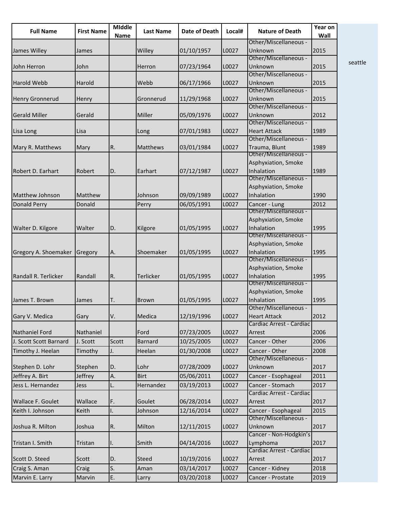| <b>Full Name</b>         | <b>First Name</b> | <b>Middle</b><br><b>Name</b> | <b>Last Name</b> | <b>Date of Death</b> | Local# | <b>Nature of Death</b>                 | Year on<br>Wall |
|--------------------------|-------------------|------------------------------|------------------|----------------------|--------|----------------------------------------|-----------------|
|                          |                   |                              |                  |                      |        | Other/Miscellaneous -                  |                 |
| James Willey             | James             |                              | Willey           | 01/10/1957           | L0027  | Unknown<br>Other/Miscellaneous -       | 2015            |
| John Herron              | John              |                              | Herron           | 07/23/1964           | L0027  | Unknown                                | 2015            |
|                          |                   |                              |                  |                      |        | Other/Miscellaneous -                  |                 |
| <b>Harold Webb</b>       | Harold            |                              | Webb             | 06/17/1966           | L0027  | Unknown                                | 2015            |
|                          |                   |                              |                  |                      |        | Other/Miscellaneous -                  |                 |
| <b>Henry Gronnerud</b>   | Henry             |                              | Gronnerud        | 11/29/1968           | L0027  | Unknown                                | 2015            |
|                          |                   |                              |                  |                      |        | Other/Miscellaneous -                  |                 |
| <b>Gerald Miller</b>     | Gerald            |                              | Miller           | 05/09/1976           | L0027  | Unknown                                | 2012            |
|                          |                   |                              |                  |                      |        | Other/Miscellaneous -                  |                 |
| Lisa Long                | Lisa              |                              | Long             | 07/01/1983           | L0027  | <b>Heart Attack</b>                    | 1989            |
|                          |                   |                              |                  |                      |        | Other/Miscellaneous -                  |                 |
| Mary R. Matthews         | Mary              | R.                           | <b>Matthews</b>  | 03/01/1984           | L0027  | Trauma, Blunt                          | 1989            |
|                          |                   |                              |                  |                      |        | Other/Miscellaneous -                  |                 |
|                          |                   |                              |                  |                      |        | Asphyxiation, Smoke                    |                 |
| <b>Robert D. Earhart</b> | Robert            | D.                           | Earhart          | 07/12/1987           | L0027  | Inhalation<br>Other/Miscellaneous -    | 1989            |
|                          |                   |                              |                  |                      |        |                                        |                 |
|                          | Matthew           |                              | Johnson          |                      |        | Asphyxiation, Smoke<br>Inhalation      |                 |
| Matthew Johnson          |                   |                              |                  | 09/09/1989           | L0027  |                                        | 1990            |
| <b>Donald Perry</b>      | Donald            |                              | Perry            | 06/05/1991           | L0027  | Cancer - Lung<br>Other/Miscellaneous - | 2012            |
|                          |                   |                              |                  |                      |        |                                        |                 |
|                          |                   |                              |                  |                      |        | Asphyxiation, Smoke<br>Inhalation      |                 |
| Walter D. Kilgore        | Walter            | D.                           | Kilgore          | 01/05/1995           | L0027  | Other/Miscellaneous -                  | 1995            |
|                          |                   |                              |                  |                      |        | Asphyxiation, Smoke                    |                 |
| Gregory A. Shoemaker     | Gregory           | А.                           | Shoemaker        | 01/05/1995           | L0027  | Inhalation                             | 1995            |
|                          |                   |                              |                  |                      |        | Other/Miscellaneous -                  |                 |
|                          |                   |                              |                  |                      |        | Asphyxiation, Smoke                    |                 |
| Randall R. Terlicker     | Randall           | R.                           | <b>Terlicker</b> | 01/05/1995           | L0027  | Inhalation                             | 1995            |
|                          |                   |                              |                  |                      |        | Other/Miscellaneous -                  |                 |
|                          |                   |                              |                  |                      |        | Asphyxiation, Smoke                    |                 |
| James T. Brown           | James             | T.                           | <b>Brown</b>     | 01/05/1995           | L0027  | Inhalation                             | 1995            |
|                          |                   |                              |                  |                      |        | Other/Miscellaneous -                  |                 |
| Gary V. Medica           | Gary              | V.                           | Medica           | 12/19/1996           | L0027  | <b>Heart Attack</b>                    | 2012            |
|                          |                   |                              |                  |                      |        | Cardiac Arrest - Cardiac               |                 |
| <b>Nathaniel Ford</b>    | Nathaniel         |                              | Ford             | 07/23/2005           | L0027  | Arrest                                 | 2006            |
| J. Scott Scott Barnard   | J. Scott          | Scott                        | <b>Barnard</b>   | 10/25/2005           | L0027  | Cancer - Other                         | 2006            |
| Timothy J. Heelan        | Timothy           | J.                           | Heelan           | 01/30/2008           | L0027  | Cancer - Other                         | 2008            |
|                          |                   |                              |                  |                      |        | Other/Miscellaneous -                  |                 |
| Stephen D. Lohr          | Stephen           | D.                           | Lohr             | 07/28/2009           | L0027  | Unknown                                | 2017            |
| Jeffrey A. Birt          | Jeffrey           | А.                           | <b>Birt</b>      | 05/06/2011           | L0027  | Cancer - Esophageal                    | 2011            |
| Jess L. Hernandez        | <b>Jess</b>       | L.                           | Hernandez        | 03/19/2013           | L0027  | Cancer - Stomach                       | 2017            |
|                          |                   |                              |                  |                      |        | Cardiac Arrest - Cardiac               |                 |
| Wallace F. Goulet        | Wallace           | F.                           | Goulet           | 06/28/2014           | L0027  | Arrest                                 | 2017            |
| Keith I. Johnson         | Keith             | Ι.                           | Johnson          | 12/16/2014           | L0027  | Cancer - Esophageal                    | 2015            |
|                          |                   |                              |                  |                      |        | Other/Miscellaneous -                  |                 |
| Joshua R. Milton         | Joshua            | R.                           | Milton           | 12/11/2015           | L0027  | Unknown                                | 2017            |
|                          |                   |                              |                  |                      |        | Cancer - Non-Hodgkin's                 |                 |
| Tristan I. Smith         | Tristan           | I.                           | Smith            | 04/14/2016           | L0027  | Lymphoma                               | 2017            |
|                          |                   |                              |                  |                      |        | Cardiac Arrest - Cardiac               |                 |
| Scott D. Steed           | Scott             | D.                           | Steed            | 10/19/2016           | L0027  | Arrest                                 | 2017            |
| Craig S. Aman            | Craig             | S.                           | Aman             | 03/14/2017           | L0027  | Cancer - Kidney                        | 2018            |
| Marvin E. Larry          | Marvin            | E.                           | Larry            | 03/20/2018           | L0027  | Cancer - Prostate                      | 2019            |
|                          |                   |                              |                  |                      |        |                                        |                 |

seattle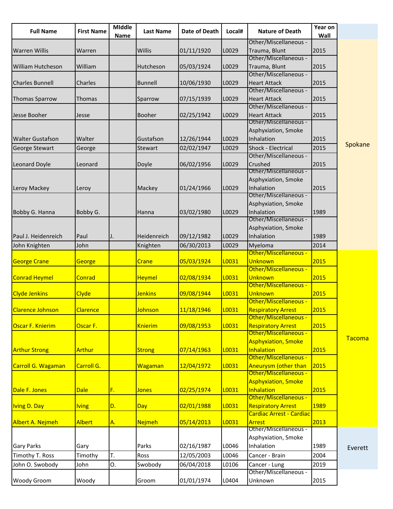| <b>Full Name</b>         | <b>First Name</b> | <b>MIddle</b><br>Name | <b>Last Name</b> | <b>Date of Death</b> | Local# | <b>Nature of Death</b>                       | Year on<br>Wall |         |
|--------------------------|-------------------|-----------------------|------------------|----------------------|--------|----------------------------------------------|-----------------|---------|
|                          |                   |                       |                  |                      |        | Other/Miscellaneous -                        |                 |         |
| <b>Warren Willis</b>     | Warren            |                       | Willis           | 01/11/1920           | L0029  | Trauma, Blunt                                | 2015            |         |
|                          |                   |                       |                  |                      |        | Other/Miscellaneous -                        |                 |         |
| <b>William Hutcheson</b> | William           |                       | Hutcheson        | 05/03/1924           | L0029  | Trauma, Blunt                                | 2015            |         |
|                          |                   |                       |                  |                      |        | Other/Miscellaneous -                        |                 |         |
| <b>Charles Bunnell</b>   | Charles           |                       | <b>Bunnell</b>   | 10/06/1930           | L0029  | <b>Heart Attack</b>                          | 2015            |         |
|                          |                   |                       |                  |                      |        | Other/Miscellaneous -                        |                 |         |
| <b>Thomas Sparrow</b>    | <b>Thomas</b>     |                       | Sparrow          | 07/15/1939           | L0029  | <b>Heart Attack</b>                          | 2015            |         |
|                          |                   |                       |                  |                      |        | Other/Miscellaneous -                        |                 |         |
| Jesse Booher             | Jesse             |                       | <b>Booher</b>    | 02/25/1942           | L0029  | <b>Heart Attack</b><br>Other/Miscellaneous - | 2015            |         |
|                          |                   |                       |                  |                      |        |                                              |                 |         |
|                          |                   |                       |                  |                      |        | Asphyxiation, Smoke                          |                 |         |
| <b>Walter Gustafson</b>  | Walter            |                       | Gustafson        | 12/26/1944           | L0029  | Inhalation                                   | 2015            | Spokane |
| <b>George Stewart</b>    | George            |                       | Stewart          | 02/02/1947           | L0029  | Shock - Electrical                           | 2015            |         |
|                          |                   |                       |                  |                      |        | Other/Miscellaneous -                        |                 |         |
| Leonard Doyle            | Leonard           |                       | Doyle            | 06/02/1956           | L0029  | Crushed<br>Other/Miscellaneous -             | 2015            |         |
|                          |                   |                       |                  |                      |        |                                              |                 |         |
|                          |                   |                       |                  |                      |        | Asphyxiation, Smoke                          |                 |         |
| Leroy Mackey             | Leroy             |                       | Mackey           | 01/24/1966           | L0029  | Inhalation<br>Other/Miscellaneous -          | 2015            |         |
|                          |                   |                       |                  |                      |        |                                              |                 |         |
|                          |                   |                       |                  |                      |        | Asphyxiation, Smoke                          |                 |         |
| Bobby G. Hanna           | Bobby G.          |                       | Hanna            | 03/02/1980           | L0029  | Inhalation                                   | 1989            |         |
|                          |                   |                       |                  |                      |        | Other/Miscellaneous -                        |                 |         |
|                          |                   |                       |                  |                      |        | Asphyxiation, Smoke                          |                 |         |
| Paul J. Heidenreich      | Paul              | IJ.                   | Heidenreich      | 09/12/1982           | L0029  | Inhalation                                   | 1989            |         |
| John Knighten            | John              |                       | Knighten         | 06/30/2013           | L0029  | Myeloma                                      | 2014            |         |
|                          |                   |                       |                  |                      |        | Other/Miscellaneous -                        |                 |         |
| <b>George Crane</b>      | George            |                       | Crane            | 05/03/1924           | L0031  | <b>Unknown</b>                               | 2015            |         |
|                          |                   |                       |                  |                      |        | Other/Miscellaneous -                        |                 |         |
| <b>Conrad Heymel</b>     | Conrad            |                       | <b>Heymel</b>    | 02/08/1934           | L0031  | Unknown                                      | 2015            |         |
|                          |                   |                       |                  |                      |        | Other/Miscellaneous -                        |                 |         |
| <b>Clyde Jenkins</b>     | <b>Clyde</b>      |                       | <b>Jenkins</b>   | 09/08/1944           | L0031  | Unknown                                      | 2015            |         |
|                          |                   |                       |                  |                      |        | Other/Miscellaneous -                        |                 |         |
| <b>Clarence Johnson</b>  | <b>Clarence</b>   |                       | <b>Johnson</b>   | 11/18/1946           | L0031  | <b>Respiratory Arrest</b>                    | <b>2015</b>     |         |
|                          |                   |                       |                  |                      |        | Other/Miscellaneous -                        |                 |         |
| Oscar F. Knierim         | Oscar F.          |                       | <b>Knierim</b>   | 09/08/1953           | L0031  | <b>Respiratory Arrest</b>                    | 2015            |         |
|                          |                   |                       |                  |                      |        | Other/Miscellaneous -                        |                 | Tacoma  |
|                          |                   |                       |                  |                      |        | <b>Asphyxiation, Smoke</b>                   |                 |         |
| <b>Arthur Strong</b>     | <b>Arthur</b>     |                       | <b>Strong</b>    | 07/14/1963           | L0031  | Inhalation                                   | 2015            |         |
|                          |                   |                       |                  |                      |        | Other/Miscellaneous -                        |                 |         |
| Carroll G. Wagaman       | Carroll G.        |                       | <b>Wagaman</b>   | 12/04/1972           | L0031  | <b>Aneurysm (other than</b>                  | 2015            |         |
|                          |                   |                       |                  |                      |        | Other/Miscellaneous -                        |                 |         |
|                          |                   |                       |                  |                      |        | <b>Asphyxiation, Smoke</b>                   |                 |         |
| Dale F. Jones            | <b>Dale</b>       | F.                    | <b>Jones</b>     | 02/25/1974           | L0031  | Inhalation                                   | 2015            |         |
|                          |                   |                       |                  |                      |        | Other/Miscellaneous -                        |                 |         |
| <b>Iving D. Day</b>      | <b>Iving</b>      | D.                    | <b>Day</b>       | 02/01/1988           | L0031  | <b>Respiratory Arrest</b>                    | 1989            |         |
|                          |                   |                       |                  |                      |        | <b>Cardiac Arrest - Cardiac</b>              |                 |         |
| Albert A. Nejmeh         | <b>Albert</b>     | A.                    | <b>Nejmeh</b>    | 05/14/2013           | L0031  | <b>Arrest</b>                                | 2013            |         |
|                          |                   |                       |                  |                      |        | Other/Miscellaneous -                        |                 |         |
|                          |                   |                       |                  |                      |        | Asphyxiation, Smoke                          |                 |         |
| <b>Gary Parks</b>        | Gary              |                       | Parks            | 02/16/1987           | L0046  | Inhalation                                   | 1989            | Everett |
| Timothy T. Ross          | Timothy           | T.                    | Ross             | 12/05/2003           | L0046  | Cancer - Brain                               | 2004            |         |
| John O. Swobody          | John              | O.                    | Swobody          | 06/04/2018           | L0106  | Cancer - Lung                                | 2019            |         |
|                          |                   |                       |                  |                      |        | Other/Miscellaneous -                        |                 |         |
| <b>Woody Groom</b>       | Woody             |                       | Groom            | 01/01/1974           | L0404  | Unknown                                      | 2015            |         |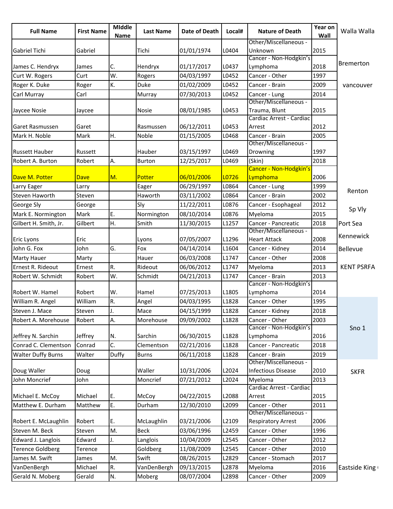| <b>Full Name</b>          | <b>First Name</b> | <b>Middle</b><br>Name | <b>Last Name</b> | <b>Date of Death</b> | Local# | <b>Nature of Death</b>                   | Year on<br>Wall | Walla Walla       |
|---------------------------|-------------------|-----------------------|------------------|----------------------|--------|------------------------------------------|-----------------|-------------------|
| <b>Gabriel Tichi</b>      | Gabriel           |                       | Tichi            | 01/01/1974           | L0404  | Other/Miscellaneous -<br>Unknown         |                 |                   |
|                           |                   |                       |                  |                      |        | Cancer - Non-Hodgkin's                   |                 | Bremerton         |
| James C. Hendryx          | James             | C.                    | Hendryx          | 01/17/2017           | L0437  | Lymphoma                                 | 2018            |                   |
| Curt W. Rogers            | Curt              | W.                    | Rogers           | 04/03/1997           | L0452  | Cancer - Other                           | 1997            |                   |
| Roger K. Duke             | Roger             | K.                    | <b>Duke</b>      | 01/02/2009           | L0452  | Cancer - Brain                           | 2009            | vancouver         |
| Carl Murray               | Carl              |                       | Murray           | 07/30/2013           | L0452  | Cancer - Lung                            | 2014            |                   |
| Jaycee Nosie              | Jaycee            |                       | <b>Nosie</b>     | 08/01/1985           | L0453  | Other/Miscellaneous -<br>Trauma, Blunt   | 2015            |                   |
| <b>Garet Rasmussen</b>    | Garet             |                       | Rasmussen        | 06/12/2011           | L0453  | Cardiac Arrest - Cardiac<br>Arrest       | 2012            |                   |
| Mark H. Noble             | Mark              | H.                    | Noble            | 01/15/2005           | L0468  | Cancer - Brain                           | 2005            |                   |
|                           |                   |                       |                  |                      |        | Other/Miscellaneous -                    |                 |                   |
| <b>Russett Hauber</b>     | Russett           |                       | Hauber           | 03/15/1997           | L0469  | Drowning                                 | 1997            |                   |
| Robert A. Burton          | Robert            | Α.                    | <b>Burton</b>    | 12/25/2017           | L0469  | (Skin)                                   | 2018            |                   |
| Dave M. Potter            | <b>Dave</b>       | M.                    | Potter           | 06/01/2006           | L0726  | Cancer - Non-Hodgkin's<br>Lymphoma       | 2006            |                   |
| Larry Eager               | Larry             |                       | Eager            | 06/29/1997           | L0864  | Cancer - Lung                            | 1999            |                   |
| Steven Haworth            | Steven            |                       | Haworth          | 03/11/2002           | L0864  | Cancer - Brain                           | 2002            | Renton            |
| <b>George Sly</b>         | George            |                       | Sly              | 11/22/2011           | L0876  | Cancer - Esophageal                      | 2012            |                   |
| Mark E. Normington        | Mark              | E.                    | Normington       | 08/10/2014           | L0876  | Myeloma                                  | 2015            | Sp Vly            |
|                           | Gilbert           | H.                    | Smith            |                      | L1257  | Cancer - Pancreatic                      | 2018            |                   |
| Gilbert H. Smith, Jr.     |                   |                       |                  | 11/30/2015           |        | Other/Miscellaneous -                    |                 | Port Sea          |
| <b>Eric Lyons</b>         | Eric              |                       | Lyons            | 07/05/2007           | L1296  | <b>Heart Attack</b>                      | 2008            | Kennewick         |
| John G. Fox               | John              | G.                    | Fox              | 04/14/2014           | L1604  | Cancer - Kidney                          | 2014            | Bellevue          |
| <b>Marty Hauer</b>        | Marty             |                       | Hauer            | 06/03/2008           | L1747  | Cancer - Other                           | 2008            |                   |
| Ernest R. Rideout         | Ernest            | R.                    | Rideout          | 06/06/2012           | L1747  | Myeloma                                  | 2013            | <b>KENT PSRFA</b> |
| Robert W. Schmidt         | Robert            | W.                    | Schmidt          | 04/21/2013           | L1747  | Cancer - Brain                           | 2013            |                   |
|                           |                   |                       |                  |                      |        | Cancer - Non-Hodgkin's                   |                 |                   |
| Robert W. Hamel           | Robert            | W.                    | Hamel            | 07/25/2013           | L1805  | Lymphoma                                 | 2014            |                   |
| William R. Angel          | William           | R.                    | Angel            | 04/03/1995           | L1828  | Cancer - Other                           | 1995            |                   |
| Steven J. Mace            | Steven            | IJ.                   | Mace             | 04/15/1999           | L1828  | Cancer - Kidney                          | 2018            |                   |
| Robert A. Morehouse       | Robert            | А.                    | Morehouse        | 09/09/2002           | L1828  | Cancer - Other<br>Cancer - Non-Hodgkin's | 2003            | Sno 1             |
| Jeffrey N. Sarchin        | Jeffrey           | N.                    | Sarchin          | 06/30/2015           | L1828  | Lymphoma                                 | 2016            |                   |
| Conrad C. Clementson      | Conrad            | C.                    | Clementson       | 02/21/2016           | L1828  | Cancer - Pancreatic                      | 2018            |                   |
| <b>Walter Duffy Burns</b> | Walter            | Duffy                 | <b>Burns</b>     | 06/11/2018           | L1828  | Cancer - Brain                           | 2019            |                   |
|                           |                   |                       |                  |                      |        | Other/Miscellaneous -                    |                 |                   |
| Doug Waller               | Doug              |                       | Waller           | 10/31/2006           | L2024  | <b>Infectious Disease</b>                | 2010            | <b>SKFR</b>       |
| John Moncrief             | John              |                       | Moncrief         | 07/21/2012           | L2024  | Myeloma                                  | 2013            |                   |
| Michael E. McCoy          | Michael           | E.                    | McCoy            | 04/22/2015           | L2088  | Cardiac Arrest - Cardiac<br>Arrest       | 2015            |                   |
| Matthew E. Durham         | Matthew           | E.                    | Durham           | 12/30/2010           | L2099  | Cancer - Other                           | 2011            |                   |
|                           |                   |                       |                  |                      |        | Other/Miscellaneous -                    |                 |                   |
| Robert E. McLaughlin      | Robert            | E.                    | McLaughlin       | 03/21/2006           | L2109  | <b>Respiratory Arrest</b>                | 2006            |                   |
| Steven M. Beck            | Steven            | M.                    | <b>Beck</b>      | 03/06/1996           | L2459  | Cancer - Other                           | 1996            |                   |
| Edward J. Langlois        | Edward            | J.                    | Langlois         | 10/04/2009           | L2545  | Cancer - Other                           | 2012            |                   |
| <b>Terence Goldberg</b>   | Terence           |                       | Goldberg         | 11/08/2009           | L2545  | Cancer - Other                           | 2010            |                   |
| James M. Swift            | James             | M.                    | Swift            | 08/26/2015           | L2829  | Cancer - Stomach                         | 2017            |                   |
| VanDenBergh               | Michael           | R.                    | VanDenBergh      | 09/13/2015           | L2878  | Myeloma                                  | 2016            | Eastside King     |
| Gerald N. Moberg          | Gerald            | N.                    | Moberg           | 08/07/2004           | L2898  | Cancer - Other                           | 2009            |                   |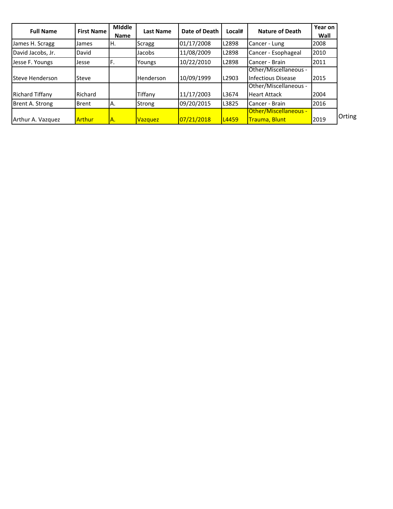| <b>Full Name</b>       | <b>First Name</b> | <b>Middle</b><br><b>Name</b> | <b>Last Name</b> | Date of Death | Local# | <b>Nature of Death</b>       | Year on<br>Wall |
|------------------------|-------------------|------------------------------|------------------|---------------|--------|------------------------------|-----------------|
| James H. Scragg        | James             | H.                           | Scragg           | 01/17/2008    | L2898  | Cancer - Lung                | 2008            |
| David Jacobs, Jr.      | David             |                              | Jacobs           | 11/08/2009    | L2898  | Cancer - Esophageal          | 2010            |
| Jesse F. Youngs        | Jesse             | F.                           | Youngs           | 10/22/2010    | L2898  | Cancer - Brain               | 2011            |
|                        |                   |                              |                  |               |        | Other/Miscellaneous -        |                 |
| Steve Henderson        | Steve             |                              | <b>Henderson</b> | 10/09/1999    | L2903  | Infectious Disease           | 2015            |
|                        |                   |                              |                  |               |        | Other/Miscellaneous -        |                 |
| <b>Richard Tiffany</b> | Richard           |                              | Tiffany          | 11/17/2003    | L3674  | <b>Heart Attack</b>          | 2004            |
| Brent A. Strong        | <b>Brent</b>      | IA.                          | <b>Strong</b>    | 09/20/2015    | L3825  | Cancer - Brain               | 2016            |
|                        |                   |                              |                  |               |        | <b>Other/Miscellaneous -</b> |                 |
| Arthur A. Vazquez      | Arthur            | A.                           | <b>Vazquez</b>   | 07/21/2018    | L4459  | Trauma, Blunt                | 2019            |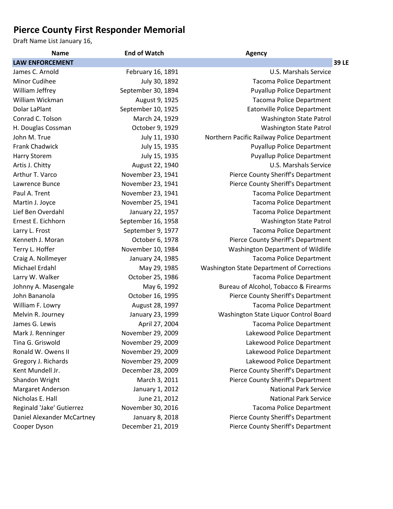## **Pierce County First Responder Memorial**

Draft Name List January 16,

| <b>Name</b>                | <b>End of Watch</b> | <b>Agency</b>                              |
|----------------------------|---------------------|--------------------------------------------|
| <b>LAW ENFORCEMENT</b>     |                     | <b>39 LE</b>                               |
| James C. Arnold            | February 16, 1891   | U.S. Marshals Service                      |
| <b>Minor Cudihee</b>       | July 30, 1892       | <b>Tacoma Police Department</b>            |
| William Jeffrey            | September 30, 1894  | <b>Puyallup Police Department</b>          |
| William Wickman            | August 9, 1925      | <b>Tacoma Police Department</b>            |
| Dolar LaPlant              | September 10, 1925  | <b>Eatonville Police Department</b>        |
| Conrad C. Tolson           | March 24, 1929      | <b>Washington State Patrol</b>             |
| H. Douglas Cossman         | October 9, 1929     | <b>Washington State Patrol</b>             |
| John M. True               | July 11, 1930       | Northern Pacific Railway Police Department |
| <b>Frank Chadwick</b>      | July 15, 1935       | <b>Puyallup Police Department</b>          |
| Harry Storem               | July 15, 1935       | <b>Puyallup Police Department</b>          |
| Artis J. Chitty            | August 22, 1940     | U.S. Marshals Service                      |
| Arthur T. Varco            | November 23, 1941   | Pierce County Sheriff's Department         |
| Lawrence Bunce             | November 23, 1941   | Pierce County Sheriff's Department         |
| Paul A. Trent              | November 23, 1941   | <b>Tacoma Police Department</b>            |
| Martin J. Joyce            | November 25, 1941   | <b>Tacoma Police Department</b>            |
| Lief Ben Overdahl          | January 22, 1957    | <b>Tacoma Police Department</b>            |
| Ernest E. Eichhorn         | September 16, 1958  | <b>Washington State Patrol</b>             |
| Larry L. Frost             | September 9, 1977   | <b>Tacoma Police Department</b>            |
| Kenneth J. Moran           | October 6, 1978     | Pierce County Sheriff's Department         |
| Terry L. Hoffer            | November 10, 1984   | Washington Department of Wildlife          |
| Craig A. Nollmeyer         | January 24, 1985    | <b>Tacoma Police Department</b>            |
| Michael Erdahl             | May 29, 1985        | Washington State Department of Corrections |
| Larry W. Walker            | October 25, 1986    | <b>Tacoma Police Department</b>            |
| Johnny A. Masengale        | May 6, 1992         | Bureau of Alcohol, Tobacco & Firearms      |
| John Bananola              | October 16, 1995    | Pierce County Sheriff's Department         |
| William F. Lowry           | August 28, 1997     | <b>Tacoma Police Department</b>            |
| Melvin R. Journey          | January 23, 1999    | Washington State Liquor Control Board      |
| James G. Lewis             | April 27, 2004      | <b>Tacoma Police Department</b>            |
| Mark J. Renninger          | November 29, 2009   | Lakewood Police Department                 |
| Tina G. Griswold           | November 29, 2009   | Lakewood Police Department                 |
| Ronald W. Owens II         | November 29, 2009   | Lakewood Police Department                 |
| Gregory J. Richards        | November 29, 2009   | Lakewood Police Department                 |
| Kent Mundell Jr.           | December 28, 2009   | Pierce County Sheriff's Department         |
| Shandon Wright             | March 3, 2011       | Pierce County Sheriff's Department         |
| Margaret Anderson          | January 1, 2012     | <b>National Park Service</b>               |
| Nicholas E. Hall           | June 21, 2012       | <b>National Park Service</b>               |
| Reginald 'Jake' Gutierrez  | November 30, 2016   | <b>Tacoma Police Department</b>            |
| Daniel Alexander McCartney | January 8, 2018     | Pierce County Sheriff's Department         |
| Cooper Dyson               | December 21, 2019   | Pierce County Sheriff's Department         |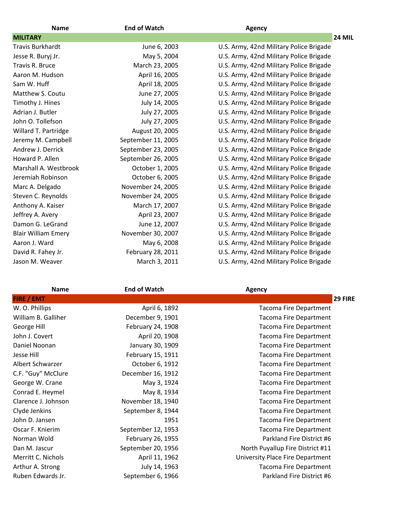| <b>Name</b>                | <b>End of Watch</b> | <b>Agency</b>                           |
|----------------------------|---------------------|-----------------------------------------|
| <b>MILITARY</b>            |                     | <b>24 MIL</b>                           |
| <b>Travis Burkhardt</b>    | June 6, 2003        | U.S. Army, 42nd Military Police Brigade |
| Jesse R. Buryj Jr.         | May 5, 2004         | U.S. Army, 42nd Military Police Brigade |
| Travis R. Bruce            | March 23, 2005      | U.S. Army, 42nd Military Police Brigade |
| Aaron M. Hudson            | April 16, 2005      | U.S. Army, 42nd Military Police Brigade |
| Sam W. Huff                | April 18, 2005      | U.S. Army, 42nd Military Police Brigade |
| Matthew S. Coutu           | June 27, 2005       | U.S. Army, 42nd Military Police Brigade |
| Timothy J. Hines           | July 14, 2005       | U.S. Army, 42nd Military Police Brigade |
| Adrian J. Butler           | July 27, 2005       | U.S. Army, 42nd Military Police Brigade |
| John O. Tollefson          | July 27, 2005       | U.S. Army, 42nd Military Police Brigade |
| Willard T. Partridge       | August 20, 2005     | U.S. Army, 42nd Military Police Brigade |
| Jeremy M. Campbell         | September 11, 2005  | U.S. Army, 42nd Military Police Brigade |
| Andrew J. Derrick          | September 23, 2005  | U.S. Army, 42nd Military Police Brigade |
| Howard P. Allen            | September 26, 2005  | U.S. Army, 42nd Military Police Brigade |
| Marshall A. Westbrook      | October 1, 2005     | U.S. Army, 42nd Military Police Brigade |
| Jeremiah Robinson          | October 6, 2005     | U.S. Army, 42nd Military Police Brigade |
| Marc A. Delgado            | November 24, 2005   | U.S. Army, 42nd Military Police Brigade |
| Steven C. Reynolds         | November 24, 2005   | U.S. Army, 42nd Military Police Brigade |
| Anthony A. Kaiser          | March 17, 2007      | U.S. Army, 42nd Military Police Brigade |
| Jeffrey A. Avery           | April 23, 2007      | U.S. Army, 42nd Military Police Brigade |
| Damon G. LeGrand           | June 12, 2007       | U.S. Army, 42nd Military Police Brigade |
| <b>Blair William Emery</b> | November 30, 2007   | U.S. Army, 42nd Military Police Brigade |
| Aaron J. Ward              | May 6, 2008         | U.S. Army, 42nd Military Police Brigade |
| David R. Fahey Jr.         | February 28, 2011   | U.S. Army, 42nd Military Police Brigade |
| Jason M. Weaver            | March 3, 2011       | U.S. Army, 42nd Military Police Brigade |

| <b>Name</b>         | <b>End of Watch</b> | <b>Agency</b>                    |
|---------------------|---------------------|----------------------------------|
| <b>FIRE / EMT</b>   |                     | 29 FIRE                          |
| W. O. Phillips      | April 6, 1892       | <b>Tacoma Fire Department</b>    |
| William B. Galliher | December 9, 1901    | <b>Tacoma Fire Department</b>    |
| George Hill         | February 24, 1908   | <b>Tacoma Fire Department</b>    |
| John J. Covert      | April 20, 1908      | <b>Tacoma Fire Department</b>    |
| Daniel Noonan       | January 30, 1909    | <b>Tacoma Fire Department</b>    |
| Jesse Hill          | February 15, 1911   | <b>Tacoma Fire Department</b>    |
| Albert Schwarzer    | October 6, 1912     | <b>Tacoma Fire Department</b>    |
| C.F. "Guy" McClure  | December 16, 1912   | Tacoma Fire Department           |
| George W. Crane     | May 3, 1924         | <b>Tacoma Fire Department</b>    |
| Conrad E. Heymel    | May 8, 1934         | <b>Tacoma Fire Department</b>    |
| Clarence J. Johnson | November 18, 1940   | Tacoma Fire Department           |
| Clyde Jenkins       | September 8, 1944   | <b>Tacoma Fire Department</b>    |
| John D. Jansen      | 1951                | <b>Tacoma Fire Department</b>    |
| Oscar F. Knierim    | September 12, 1953  | <b>Tacoma Fire Department</b>    |
| Norman Wold         | February 26, 1955   | Parkland Fire District #6        |
| Dan M. Jascur       | September 20, 1956  | North Puyallup Fire District #11 |
| Merritt C. Nichols  | April 11, 1962      | University Place Fire Department |
| Arthur A. Strong    | July 14, 1963       | <b>Tacoma Fire Department</b>    |
| Ruben Edwards Jr.   | September 6, 1966   | Parkland Fire District #6        |